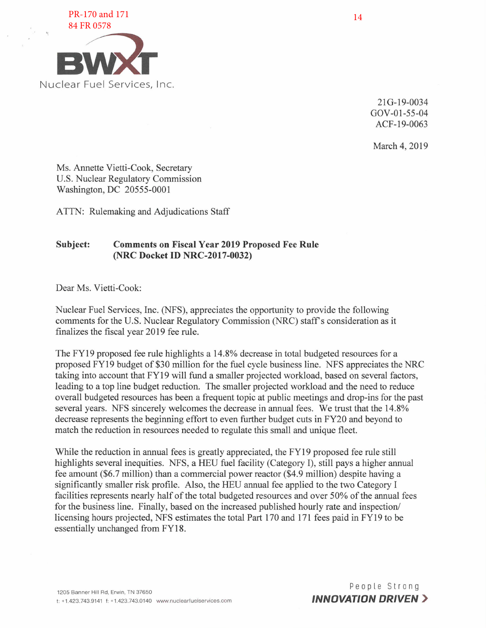

21G-19-0034 GOV-01-55-04 ACF-19-0063

March 4, 2019

Ms. Annette Vietti-Cook, Secretary U.S. Nuclear Regulatory Commission Washington, DC 20555-0001

ATTN: Rulemaking and Adjudications Staff

## **Subject: Comments on Fiscal Year 2019 Proposed Fee Rule (NRC Docket ID NRC-2017-0032)**

Dear Ms. Vietti-Cook:

Nuclear Fuel Services, Inc. (NFS), appreciates the opportunity to provide the following comments for the U.S. Nuclear Regulatory Commission (NRC) staff's consideration as it finalizes the fiscal year 2019 fee rule.

The FY19 proposed fee rule highlights a 14.8% decrease in total budgeted resources for a proposed FY19 budget of \$30 million for the fuel cycle business line. NFS appreciates the NRC taking into account that FY19 will fund a smaller projected workload, based on several factors, leading to a top line budget reduction. The smaller projected workload and the need to reduce overall budgeted resources has been a frequent topic at public meetings and drop-ins for the past several years. NFS sincerely welcomes the decrease in annual fees. We trust that the 14.8% decrease represents the beginning effort to even further budget cuts in FY20 and beyond to match the reduction in resources needed to regulate this small and unique fleet.

While the reduction in annual fees is greatly appreciated, the FY19 proposed fee rule still highlights several inequities. NFS, a HEU fuel facility (Category I), still pays a higher annual fee amount (\$6.7 million) than a commercial power reactor (\$4.9 million) despite having a significantly smaller risk profile. Also, the HEU annual fee applied to the two Category I facilities represents nearly half of the total budgeted resources and over 50% of the annual fees for the business line. Finally, based on the increased published hourly rate and inspection/ licensing hours projected, NFS estimates the total Part 170 and 171 fees paid in FY19 to be essentially unchanged from FY18.

People Strong *INNOVATION DRIVEN* >